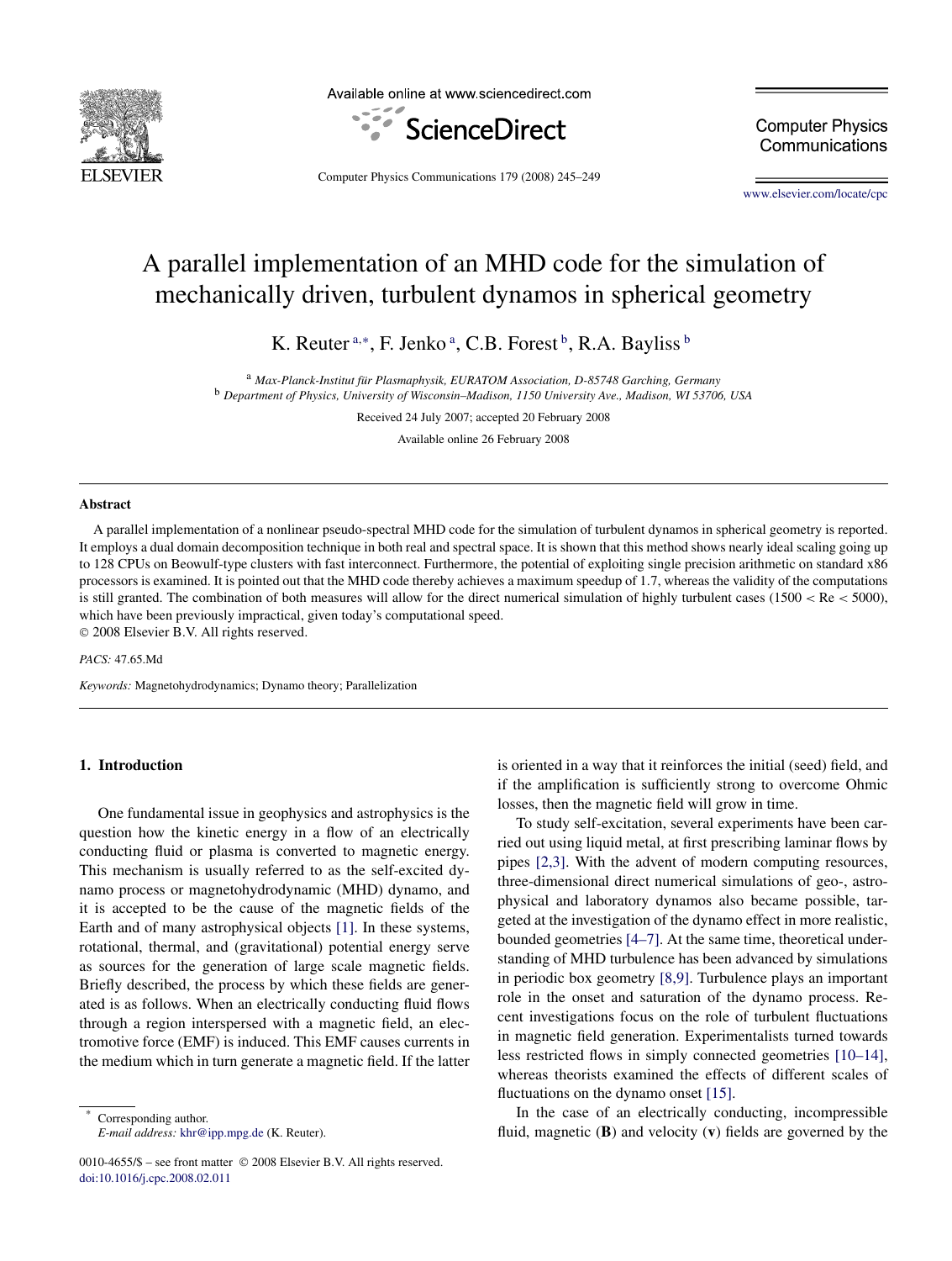

Available online at www.sciencedirect.com



**Computer Physics** Communications

Computer Physics Communications 179 (2008) 245–249

[www.elsevier.com/locate/cpc](http://www.elsevier.com/locate/cpc)

# A parallel implementation of an MHD code for the simulation of mechanically driven, turbulent dynamos in spherical geometry

K. Reuter<sup>a,\*</sup>, F. Jenko<sup>a</sup>, C.B. Forest<sup>b</sup>, R.A. Bayliss<sup>b</sup>

<sup>a</sup> *Max-Planck-Institut für Plasmaphysik, EURATOM Association, D-85748 Garching, Germany* <sup>b</sup> *Department of Physics, University of Wisconsin–Madison, 1150 University Ave., Madison, WI 53706, USA*

Received 24 July 2007; accepted 20 February 2008

Available online 26 February 2008

## **Abstract**

A parallel implementation of a nonlinear pseudo-spectral MHD code for the simulation of turbulent dynamos in spherical geometry is reported. It employs a dual domain decomposition technique in both real and spectral space. It is shown that this method shows nearly ideal scaling going up to 128 CPUs on Beowulf-type clusters with fast interconnect. Furthermore, the potential of exploiting single precision arithmetic on standard x86 processors is examined. It is pointed out that the MHD code thereby achieves a maximum speedup of 1*.*7, whereas the validity of the computations is still granted. The combination of both measures will allow for the direct numerical simulation of highly turbulent cases (1500 < Re < 5000), which have been previously impractical, given today's computational speed. © 2008 Elsevier B.V. All rights reserved.

*PACS:* 47.65.Md

*Keywords:* Magnetohydrodynamics; Dynamo theory; Parallelization

## **1. Introduction**

One fundamental issue in geophysics and astrophysics is the question how the kinetic energy in a flow of an electrically conducting fluid or plasma is converted to magnetic energy. This mechanism is usually referred to as the self-excited dynamo process or magnetohydrodynamic (MHD) dynamo, and it is accepted to be the cause of the magnetic fields of the Earth and of many astrophysical objects [\[1\].](#page-4-0) In these systems, rotational, thermal, and (gravitational) potential energy serve as sources for the generation of large scale magnetic fields. Briefly described, the process by which these fields are generated is as follows. When an electrically conducting fluid flows through a region interspersed with a magnetic field, an electromotive force (EMF) is induced. This EMF causes currents in the medium which in turn generate a magnetic field. If the latter

Corresponding author. *E-mail address:* [khr@ipp.mpg.de](mailto:khr@ipp.mpg.de) (K. Reuter).

0010-4655/\$ – see front matter © 2008 Elsevier B.V. All rights reserved. [doi:10.1016/j.cpc.2008.02.011](http://dx.doi.org/10.1016/j.cpc.2008.02.011)

is oriented in a way that it reinforces the initial (seed) field, and if the amplification is sufficiently strong to overcome Ohmic losses, then the magnetic field will grow in time.

To study self-excitation, several experiments have been carried out using liquid metal, at first prescribing laminar flows by pipes [\[2,3\].](#page-4-0) With the advent of modern computing resources, three-dimensional direct numerical simulations of geo-, astrophysical and laboratory dynamos also became possible, targeted at the investigation of the dynamo effect in more realistic, bounded geometries [\[4–7\].](#page-4-0) At the same time, theoretical understanding of MHD turbulence has been advanced by simulations in periodic box geometry [\[8,9\].](#page-4-0) Turbulence plays an important role in the onset and saturation of the dynamo process. Recent investigations focus on the role of turbulent fluctuations in magnetic field generation. Experimentalists turned towards less restricted flows in simply connected geometries [\[10–14\],](#page-4-0) whereas theorists examined the effects of different scales of fluctuations on the dynamo onset [\[15\].](#page-4-0)

In the case of an electrically conducting, incompressible fluid, magnetic (**B**) and velocity (**v**) fields are governed by the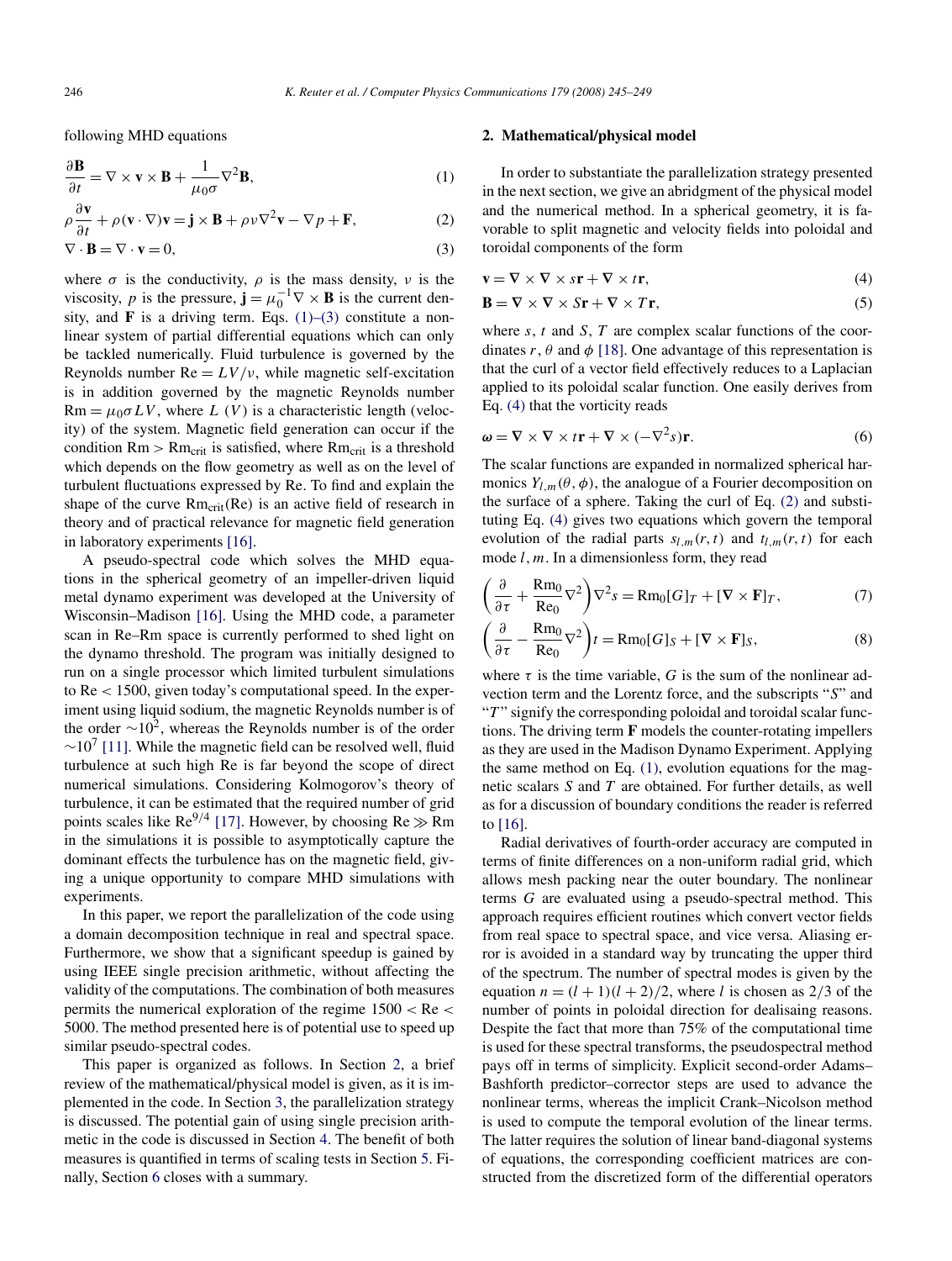<span id="page-1-0"></span>following MHD equations

$$
\frac{\partial \mathbf{B}}{\partial t} = \nabla \times \mathbf{v} \times \mathbf{B} + \frac{1}{\mu_0 \sigma} \nabla^2 \mathbf{B},\tag{1}
$$

$$
\rho \frac{\partial \mathbf{v}}{\partial t} + \rho (\mathbf{v} \cdot \nabla) \mathbf{v} = \mathbf{j} \times \mathbf{B} + \rho \nu \nabla^2 \mathbf{v} - \nabla p + \mathbf{F},
$$
 (2)

$$
\nabla \cdot \mathbf{B} = \nabla \cdot \mathbf{v} = 0,\tag{3}
$$

where  $\sigma$  is the conductivity,  $\rho$  is the mass density,  $\nu$  is the viscosity, *p* is the pressure, **j** =  $\mu_0^{-1} \nabla \times \mathbf{B}$  is the current density, and **F** is a driving term. Eqs.  $(1)$ – $(3)$  constitute a nonlinear system of partial differential equations which can only be tackled numerically. Fluid turbulence is governed by the Reynolds number  $Re = LV/v$ , while magnetic self-excitation is in addition governed by the magnetic Reynolds number  $Rm = \mu_0 \sigma LV$ , where *L* (*V*) is a characteristic length (velocity) of the system. Magnetic field generation can occur if the condition  $Rm > Rm_{crit}$  is satisfied, where  $Rm_{crit}$  is a threshold which depends on the flow geometry as well as on the level of turbulent fluctuations expressed by Re. To find and explain the shape of the curve Rm<sub>crit</sub>(Re) is an active field of research in theory and of practical relevance for magnetic field generation in laboratory experiments [\[16\].](#page-4-0)

A pseudo-spectral code which solves the MHD equations in the spherical geometry of an impeller-driven liquid metal dynamo experiment was developed at the University of Wisconsin–Madison [\[16\].](#page-4-0) Using the MHD code, a parameter scan in Re–Rm space is currently performed to shed light on the dynamo threshold. The program was initially designed to run on a single processor which limited turbulent simulations to Re *<* 1500, given today's computational speed. In the experiment using liquid sodium, the magnetic Reynolds number is of the order  $\sim 10^2$ , whereas the Reynolds number is of the order  $\sim$ 10<sup>7</sup> [\[11\].](#page-4-0) While the magnetic field can be resolved well, fluid turbulence at such high Re is far beyond the scope of direct numerical simulations. Considering Kolmogorov's theory of turbulence, it can be estimated that the required number of grid points scales like  $\text{Re}^{9/4}$  [\[17\].](#page-4-0) However, by choosing  $\text{Re} \gg \text{Rm}$ in the simulations it is possible to asymptotically capture the dominant effects the turbulence has on the magnetic field, giving a unique opportunity to compare MHD simulations with experiments.

In this paper, we report the parallelization of the code using a domain decomposition technique in real and spectral space. Furthermore, we show that a significant speedup is gained by using IEEE single precision arithmetic, without affecting the validity of the computations. The combination of both measures permits the numerical exploration of the regime 1500 *<* Re *<* 5000. The method presented here is of potential use to speed up similar pseudo-spectral codes.

This paper is organized as follows. In Section 2, a brief review of the mathematical/physical model is given, as it is implemented in the code. In Section [3,](#page-2-0) the parallelization strategy is discussed. The potential gain of using single precision arithmetic in the code is discussed in Section [4.](#page-2-0) The benefit of both measures is quantified in terms of scaling tests in Section [5.](#page-2-0) Finally, Section [6](#page-4-0) closes with a summary.

## **2. Mathematical/physical model**

In order to substantiate the parallelization strategy presented in the next section, we give an abridgment of the physical model and the numerical method. In a spherical geometry, it is favorable to split magnetic and velocity fields into poloidal and toroidal components of the form

$$
\mathbf{v} = \nabla \times \nabla \times s\mathbf{r} + \nabla \times t\mathbf{r},\tag{4}
$$

$$
\mathbf{B} = \nabla \times \nabla \times S\mathbf{r} + \nabla \times T\mathbf{r},\tag{5}
$$

where *s*, *t* and *S*, *T* are complex scalar functions of the coordinates  $r$ ,  $\theta$  and  $\phi$  [\[18\].](#page-4-0) One advantage of this representation is that the curl of a vector field effectively reduces to a Laplacian applied to its poloidal scalar function. One easily derives from Eq. (4) that the vorticity reads

$$
\boldsymbol{\omega} = \nabla \times \nabla \times t\mathbf{r} + \nabla \times (-\nabla^2 s)\mathbf{r}.
$$
 (6)

The scalar functions are expanded in normalized spherical harmonics  $Y_{l,m}(\theta, \phi)$ , the analogue of a Fourier decomposition on the surface of a sphere. Taking the curl of Eq. (2) and substituting Eq. (4) gives two equations which govern the temporal evolution of the radial parts  $s_{l,m}(r,t)$  and  $t_{l,m}(r,t)$  for each mode *l,m*. In a dimensionless form, they read

$$
\left(\frac{\partial}{\partial \tau} + \frac{\text{Rm}_0}{\text{Re}_0} \nabla^2\right) \nabla^2 s = \text{Rm}_0[G]_T + [\nabla \times \mathbf{F}]_T,\tag{7}
$$

$$
\left(\frac{\partial}{\partial \tau} - \frac{\text{Rm}_0}{\text{Re}_0} \nabla^2\right) t = \text{Rm}_0[G]_S + [\nabla \times \mathbf{F}]_S,\tag{8}
$$

where  $\tau$  is the time variable, G is the sum of the nonlinear advection term and the Lorentz force, and the subscripts "*S*" and "*T*" signify the corresponding poloidal and toroidal scalar functions. The driving term **F** models the counter-rotating impellers as they are used in the Madison Dynamo Experiment. Applying the same method on Eq. (1), evolution equations for the magnetic scalars *S* and *T* are obtained. For further details, as well as for a discussion of boundary conditions the reader is referred to [\[16\].](#page-4-0)

Radial derivatives of fourth-order accuracy are computed in terms of finite differences on a non-uniform radial grid, which allows mesh packing near the outer boundary. The nonlinear terms *G* are evaluated using a pseudo-spectral method. This approach requires efficient routines which convert vector fields from real space to spectral space, and vice versa. Aliasing error is avoided in a standard way by truncating the upper third of the spectrum. The number of spectral modes is given by the equation  $n = (l + 1)(l + 2)/2$ , where *l* is chosen as 2/3 of the number of points in poloidal direction for dealisaing reasons. Despite the fact that more than 75% of the computational time is used for these spectral transforms, the pseudospectral method pays off in terms of simplicity. Explicit second-order Adams– Bashforth predictor–corrector steps are used to advance the nonlinear terms, whereas the implicit Crank–Nicolson method is used to compute the temporal evolution of the linear terms. The latter requires the solution of linear band-diagonal systems of equations, the corresponding coefficient matrices are constructed from the discretized form of the differential operators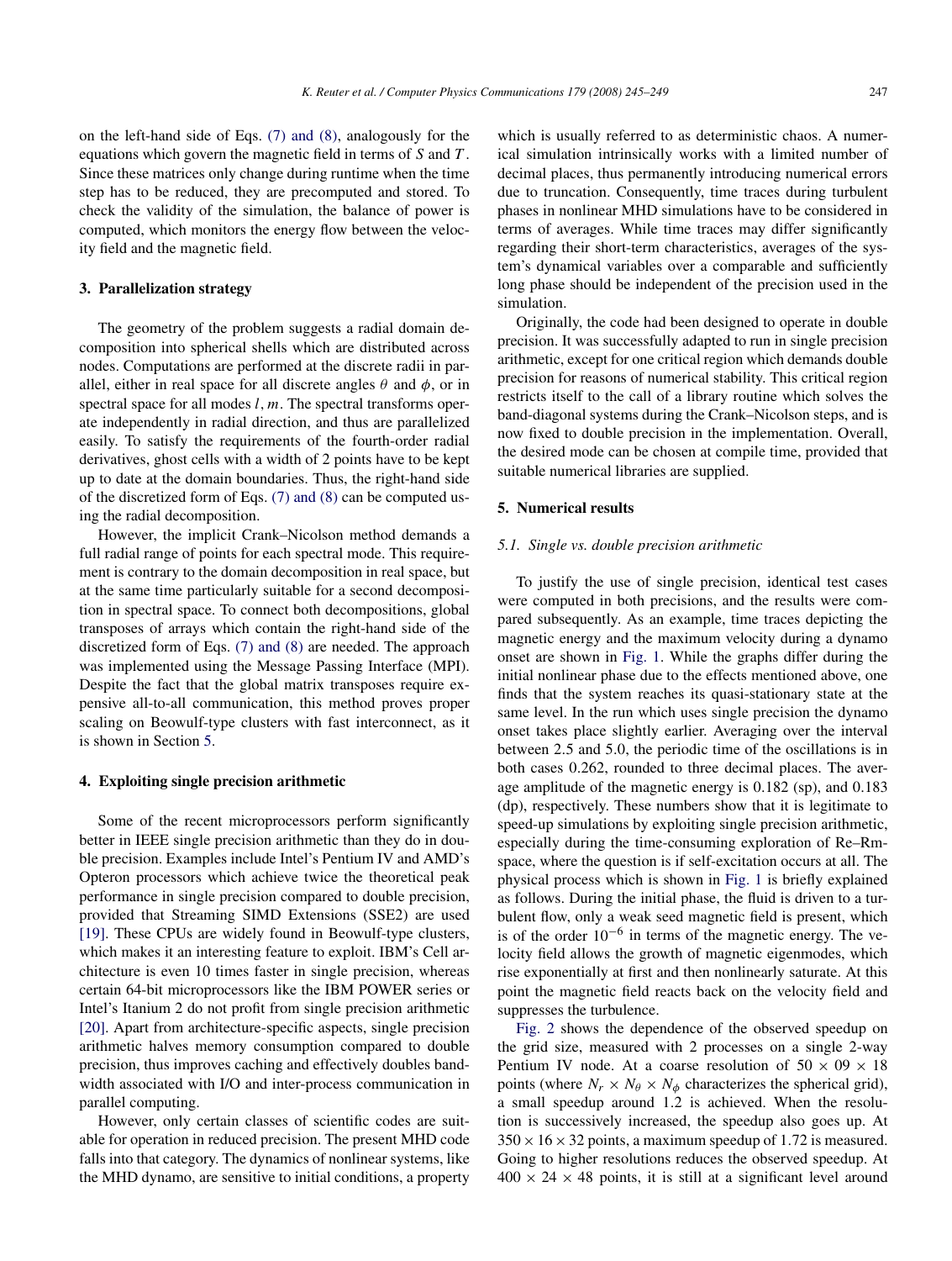<span id="page-2-0"></span>on the left-hand side of Eqs. [\(7\) and \(8\),](#page-1-0) analogously for the equations which govern the magnetic field in terms of *S* and *T* . Since these matrices only change during runtime when the time step has to be reduced, they are precomputed and stored. To check the validity of the simulation, the balance of power is computed, which monitors the energy flow between the velocity field and the magnetic field.

#### **3. Parallelization strategy**

The geometry of the problem suggests a radial domain decomposition into spherical shells which are distributed across nodes. Computations are performed at the discrete radii in parallel, either in real space for all discrete angles  $\theta$  and  $\phi$ , or in spectral space for all modes *l, m.* The spectral transforms operate independently in radial direction, and thus are parallelized easily. To satisfy the requirements of the fourth-order radial derivatives, ghost cells with a width of 2 points have to be kept up to date at the domain boundaries. Thus, the right-hand side of the discretized form of Eqs. [\(7\) and \(8\)](#page-1-0) can be computed using the radial decomposition.

However, the implicit Crank–Nicolson method demands a full radial range of points for each spectral mode. This requirement is contrary to the domain decomposition in real space, but at the same time particularly suitable for a second decomposition in spectral space. To connect both decompositions, global transposes of arrays which contain the right-hand side of the discretized form of Eqs. [\(7\) and \(8\)](#page-1-0) are needed. The approach was implemented using the Message Passing Interface (MPI). Despite the fact that the global matrix transposes require expensive all-to-all communication, this method proves proper scaling on Beowulf-type clusters with fast interconnect, as it is shown in Section 5.

## **4. Exploiting single precision arithmetic**

Some of the recent microprocessors perform significantly better in IEEE single precision arithmetic than they do in double precision. Examples include Intel's Pentium IV and AMD's Opteron processors which achieve twice the theoretical peak performance in single precision compared to double precision, provided that Streaming SIMD Extensions (SSE2) are used [\[19\].](#page-4-0) These CPUs are widely found in Beowulf-type clusters, which makes it an interesting feature to exploit. IBM's Cell architecture is even 10 times faster in single precision, whereas certain 64-bit microprocessors like the IBM POWER series or Intel's Itanium 2 do not profit from single precision arithmetic [\[20\].](#page-4-0) Apart from architecture-specific aspects, single precision arithmetic halves memory consumption compared to double precision, thus improves caching and effectively doubles bandwidth associated with I/O and inter-process communication in parallel computing.

However, only certain classes of scientific codes are suitable for operation in reduced precision. The present MHD code falls into that category. The dynamics of nonlinear systems, like the MHD dynamo, are sensitive to initial conditions, a property which is usually referred to as deterministic chaos. A numerical simulation intrinsically works with a limited number of decimal places, thus permanently introducing numerical errors due to truncation. Consequently, time traces during turbulent phases in nonlinear MHD simulations have to be considered in terms of averages. While time traces may differ significantly regarding their short-term characteristics, averages of the system's dynamical variables over a comparable and sufficiently long phase should be independent of the precision used in the simulation.

Originally, the code had been designed to operate in double precision. It was successfully adapted to run in single precision arithmetic, except for one critical region which demands double precision for reasons of numerical stability. This critical region restricts itself to the call of a library routine which solves the band-diagonal systems during the Crank–Nicolson steps, and is now fixed to double precision in the implementation. Overall, the desired mode can be chosen at compile time, provided that suitable numerical libraries are supplied.

## **5. Numerical results**

## *5.1. Single vs. double precision arithmetic*

To justify the use of single precision, identical test cases were computed in both precisions, and the results were compared subsequently. As an example, time traces depicting the magnetic energy and the maximum velocity during a dynamo onset are shown in [Fig. 1.](#page-3-0) While the graphs differ during the initial nonlinear phase due to the effects mentioned above, one finds that the system reaches its quasi-stationary state at the same level. In the run which uses single precision the dynamo onset takes place slightly earlier. Averaging over the interval between 2*.*5 and 5*.*0, the periodic time of the oscillations is in both cases 0*.*262, rounded to three decimal places. The average amplitude of the magnetic energy is 0*.*182 (sp), and 0*.*183 (dp), respectively. These numbers show that it is legitimate to speed-up simulations by exploiting single precision arithmetic, especially during the time-consuming exploration of Re–Rmspace, where the question is if self-excitation occurs at all. The physical process which is shown in [Fig. 1](#page-3-0) is briefly explained as follows. During the initial phase, the fluid is driven to a turbulent flow, only a weak seed magnetic field is present, which is of the order  $10^{-6}$  in terms of the magnetic energy. The velocity field allows the growth of magnetic eigenmodes, which rise exponentially at first and then nonlinearly saturate. At this point the magnetic field reacts back on the velocity field and suppresses the turbulence.

[Fig. 2](#page-3-0) shows the dependence of the observed speedup on the grid size, measured with 2 processes on a single 2-way Pentium IV node. At a coarse resolution of  $50 \times 09 \times 18$ points (where  $N_r \times N_\theta \times N_\phi$  characterizes the spherical grid), a small speedup around 1*.*2 is achieved. When the resolution is successively increased, the speedup also goes up. At  $350 \times 16 \times 32$  points, a maximum speedup of 1.72 is measured. Going to higher resolutions reduces the observed speedup. At  $400 \times 24 \times 48$  points, it is still at a significant level around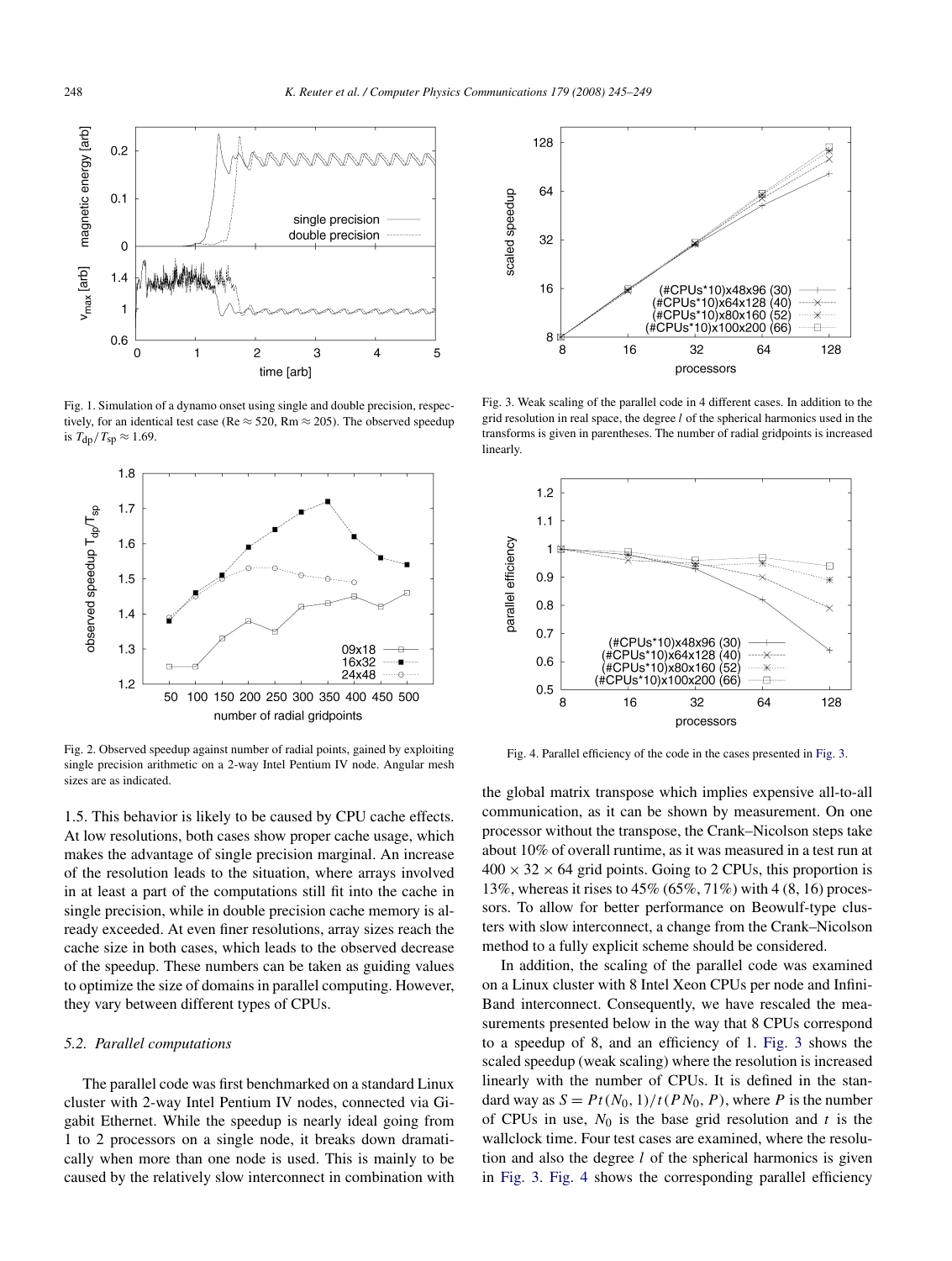<span id="page-3-0"></span>

Fig. 1. Simulation of a dynamo onset using single and double precision, respectively, for an identical test case (Re  $\approx$  520, Rm  $\approx$  205). The observed speedup is  $T_{\text{dn}}/T_{\text{SD}} \approx 1.69$ .



Fig. 2. Observed speedup against number of radial points, gained by exploiting single precision arithmetic on a 2-way Intel Pentium IV node. Angular mesh sizes are as indicated.

1*.*5. This behavior is likely to be caused by CPU cache effects. At low resolutions, both cases show proper cache usage, which makes the advantage of single precision marginal. An increase of the resolution leads to the situation, where arrays involved in at least a part of the computations still fit into the cache in single precision, while in double precision cache memory is already exceeded. At even finer resolutions, array sizes reach the cache size in both cases, which leads to the observed decrease of the speedup. These numbers can be taken as guiding values to optimize the size of domains in parallel computing. However, they vary between different types of CPUs.

#### *5.2. Parallel computations*

The parallel code was first benchmarked on a standard Linux cluster with 2-way Intel Pentium IV nodes, connected via Gigabit Ethernet. While the speedup is nearly ideal going from 1 to 2 processors on a single node, it breaks down dramatically when more than one node is used. This is mainly to be caused by the relatively slow interconnect in combination with



Fig. 3. Weak scaling of the parallel code in 4 different cases. In addition to the grid resolution in real space, the degree *l* of the spherical harmonics used in the transforms is given in parentheses. The number of radial gridpoints is increased linearly.



Fig. 4. Parallel efficiency of the code in the cases presented in Fig. 3.

the global matrix transpose which implies expensive all-to-all communication, as it can be shown by measurement. On one processor without the transpose, the Crank–Nicolson steps take about 10% of overall runtime, as it was measured in a test run at  $400 \times 32 \times 64$  grid points. Going to 2 CPUs, this proportion is 13%, whereas it rises to 45% (65%, 71%) with 4 (8, 16) processors. To allow for better performance on Beowulf-type clusters with slow interconnect, a change from the Crank–Nicolson method to a fully explicit scheme should be considered.

In addition, the scaling of the parallel code was examined on a Linux cluster with 8 Intel Xeon CPUs per node and Infini-Band interconnect. Consequently, we have rescaled the measurements presented below in the way that 8 CPUs correspond to a speedup of 8, and an efficiency of 1. Fig. 3 shows the scaled speedup (weak scaling) where the resolution is increased linearly with the number of CPUs. It is defined in the standard way as  $S = Pt(N_0, 1)/t(PN_0, P)$ , where *P* is the number of CPUs in use,  $N_0$  is the base grid resolution and  $t$  is the wallclock time. Four test cases are examined, where the resolution and also the degree *l* of the spherical harmonics is given in Fig. 3. Fig. 4 shows the corresponding parallel efficiency